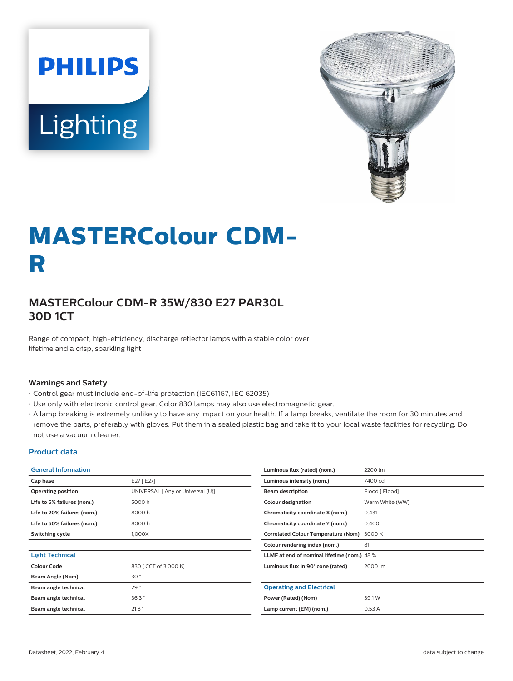



# **MASTERColour CDM-R**

# **MASTERColour CDM-R 35W/830 E27 PAR30L 30D 1CT**

Range of compact, high-efficiency, discharge reflector lamps with a stable color over lifetime and a crisp, sparkling light

#### **Warnings and Safety**

- Control gear must include end-of-life protection (IEC61167, IEC 62035)
- Use only with electronic control gear. Color 830 lamps may also use electromagnetic gear.
- A lamp breaking is extremely unlikely to have any impact on your health. If a lamp breaks, ventilate the room for 30 minutes and remove the parts, preferably with gloves. Put them in a sealed plastic bag and take it to your local waste facilities for recycling. Do not use a vacuum cleaner.

#### **Product data**

| <b>General Information</b>  |                                   | Luminous flux (rated) (nom.)               | 2200 lm                                     |  |  |
|-----------------------------|-----------------------------------|--------------------------------------------|---------------------------------------------|--|--|
| Cap base                    | E27 [E27]                         | Luminous intensity (nom.)                  | 7400 cd                                     |  |  |
| <b>Operating position</b>   | UNIVERSAL [ Any or Universal (U)] | <b>Beam description</b>                    | Flood [ Flood]                              |  |  |
| Life to 5% failures (nom.)  | 5000 h                            | Colour designation                         | Warm White (WW)                             |  |  |
| Life to 20% failures (nom.) | 8000h                             | Chromaticity coordinate X (nom.)           | 0.431                                       |  |  |
| Life to 50% failures (nom.) | 8000h                             | Chromaticity coordinate Y (nom.)           | 0.400                                       |  |  |
| Switching cycle             | 1,000X                            | <b>Correlated Colour Temperature (Nom)</b> | 3000 K                                      |  |  |
|                             |                                   | Colour rendering index (nom.)              | 81                                          |  |  |
| <b>Light Technical</b>      |                                   |                                            | LLMF at end of nominal lifetime (nom.) 48 % |  |  |
| <b>Colour Code</b>          | 830 [ CCT of 3,000 K]             | Luminous flux in 90° cone (rated)          | 2000 lm                                     |  |  |
| Beam Angle (Nom)            | 30 <sup>°</sup>                   |                                            |                                             |  |  |
| Beam angle technical        | 29°                               | <b>Operating and Electrical</b>            |                                             |  |  |
| Beam angle technical        | 36.3                              | Power (Rated) (Nom)                        | 39.1 W                                      |  |  |
| Beam angle technical        | 21.8°                             | Lamp current (EM) (nom.)                   | 0.53A                                       |  |  |
|                             |                                   |                                            |                                             |  |  |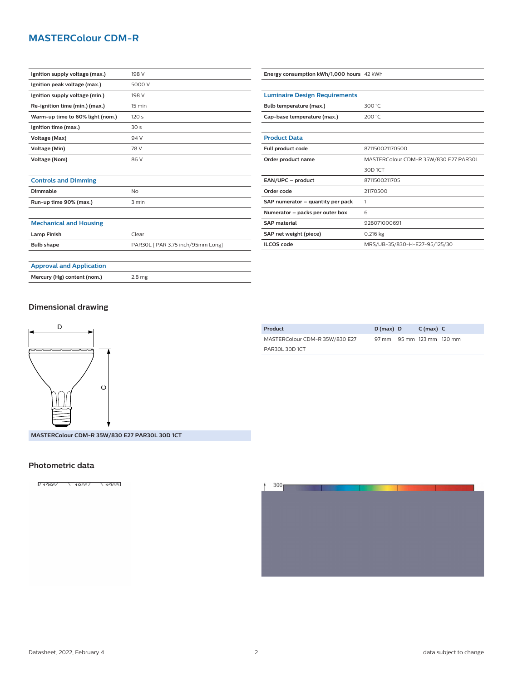## **MASTERColour CDM-R**

| Ignition supply voltage (max.)   | 198 V            |
|----------------------------------|------------------|
| Ignition peak voltage (max.)     | 5000 V           |
| Ignition supply voltage (min.)   | 198 V            |
| Re-ignition time (min.) (max.)   | $15 \text{ min}$ |
| Warm-up time to 60% light (nom.) | 120 <sub>s</sub> |
| Ignition time (max.)             | 30 <sub>s</sub>  |
| Voltage (Max)                    | 94 V             |
| Voltage (Min)                    | 78 V             |
| Voltage (Nom)                    | 86 V             |
|                                  |                  |

| Bulb temperature (max.)           | 300 °C                                |  |  |  |
|-----------------------------------|---------------------------------------|--|--|--|
| Cap-base temperature (max.)       | 200 °C                                |  |  |  |
|                                   |                                       |  |  |  |
| <b>Product Data</b>               |                                       |  |  |  |
| Full product code                 | 871150021170500                       |  |  |  |
| Order product name                | MASTERColour CDM-R 35W/830 E27 PAR30L |  |  |  |
|                                   | 30D 1CT                               |  |  |  |
| EAN/UPC - product                 | 8711500211705                         |  |  |  |
| Order code                        | 21170500                              |  |  |  |
| SAP numerator - quantity per pack | 1                                     |  |  |  |
| Numerator - packs per outer box   | 6                                     |  |  |  |
| <b>SAP material</b>               | 928071000691                          |  |  |  |
| SAP net weight (piece)            | $0.216$ kg                            |  |  |  |
| <b>ILCOS code</b>                 | MRS/UB-35/830-H-E27-95/125/30         |  |  |  |

**Energy consumption kWh/1,000 hours** 42 kWh

**Luminaire Design Requirements**

# **Controls and Dimming**

| Dimmable               | Nο    |
|------------------------|-------|
| Run-up time 90% (max.) | 3 min |
|                        |       |

#### **Mechanical and Housing**

| <b>Lamp Finish</b> | Clear                             |  |  |
|--------------------|-----------------------------------|--|--|
| <b>Bulb shape</b>  | PAR30L [ PAR 3.75 inch/95mm Long] |  |  |
|                    |                                   |  |  |

# **Approval and Application**

**Mercury (Hg) content (nom.)** 2.8 mg

#### **Dimensional drawing**



| Product                        | $D(max)$ D                | $C(max)$ $C$ |  |
|--------------------------------|---------------------------|--------------|--|
| MASTERColour CDM-R 35W/830 E27 | 97 mm 95 mm 123 mm 120 mm |              |  |
| PAR30L 30D 1CT                 |                           |              |  |

#### **MASTERColour CDM-R 35W/830 E27 PAR30L 30D 1CT**

#### **Photometric data**

1/13201 12001 1300